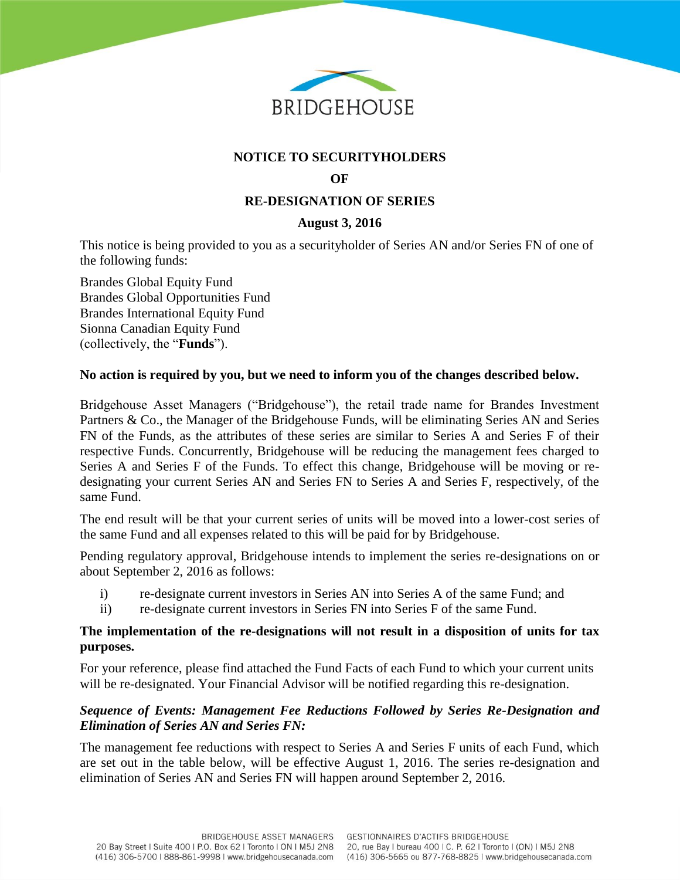

# **NOTICE TO SECURITYHOLDERS**

### **OF**

# **RE-DESIGNATION OF SERIES**

# **August 3, 2016**

This notice is being provided to you as a securityholder of Series AN and/or Series FN of one of the following funds:

Brandes Global Equity Fund Brandes Global Opportunities Fund Brandes International Equity Fund Sionna Canadian Equity Fund (collectively, the "**Funds**").

#### **No action is required by you, but we need to inform you of the changes described below.**

Bridgehouse Asset Managers ("Bridgehouse"), the retail trade name for Brandes Investment Partners & Co., the Manager of the Bridgehouse Funds, will be eliminating Series AN and Series FN of the Funds, as the attributes of these series are similar to Series A and Series F of their respective Funds. Concurrently, Bridgehouse will be reducing the management fees charged to Series A and Series F of the Funds. To effect this change, Bridgehouse will be moving or redesignating your current Series AN and Series FN to Series A and Series F, respectively, of the same Fund.

The end result will be that your current series of units will be moved into a lower-cost series of the same Fund and all expenses related to this will be paid for by Bridgehouse.

Pending regulatory approval, Bridgehouse intends to implement the series re-designations on or about September 2, 2016 as follows:

- i) re-designate current investors in Series AN into Series A of the same Fund; and
- ii) re-designate current investors in Series FN into Series F of the same Fund.

#### **The implementation of the re-designations will not result in a disposition of units for tax purposes.**

For your reference, please find attached the Fund Facts of each Fund to which your current units will be re-designated. Your Financial Advisor will be notified regarding this re-designation.

### *Sequence of Events: Management Fee Reductions Followed by Series Re-Designation and Elimination of Series AN and Series FN:*

The management fee reductions with respect to Series A and Series F units of each Fund, which are set out in the table below, will be effective August 1, 2016. The series re-designation and elimination of Series AN and Series FN will happen around September 2, 2016.